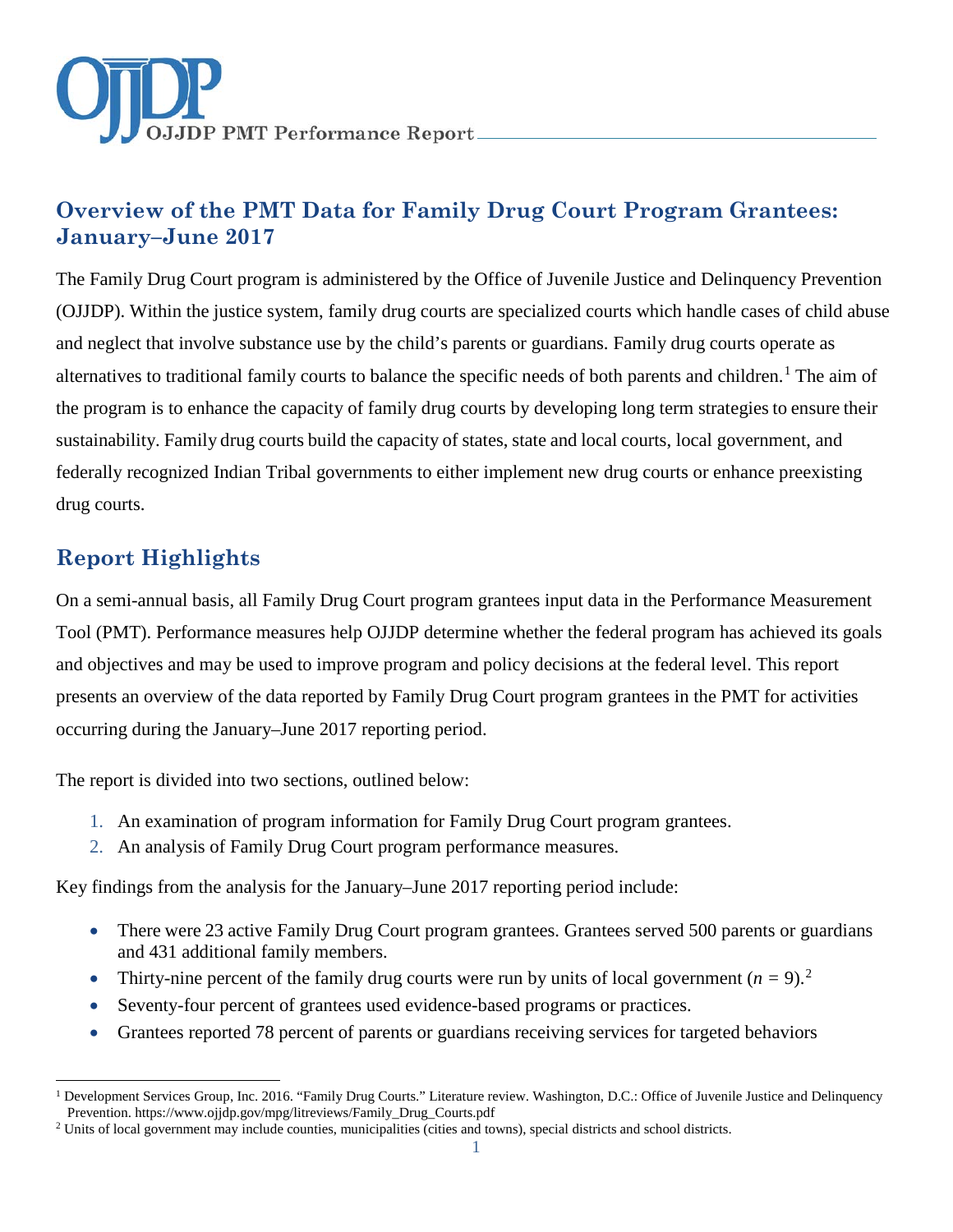

# **Overview of the PMT Data for Family Drug Court Program Grantees: January–June 2017**

The Family Drug Court program is administered by the Office of Juvenile Justice and Delinquency Prevention (OJJDP). Within the justice system, family drug courts are specialized courts which handle cases of child abuse and neglect that involve substance use by the child's parents or guardians. Family drug courts operate as alternatives to traditional family courts to balance the specific needs of both parents and children.<sup>[1](#page-0-0)</sup> The aim of the program is to enhance the capacity of family drug courts by developing long term strategies to ensure their sustainability. Family drug courts build the capacity of states, state and local courts, local government, and federally recognized Indian Tribal governments to either implement new drug courts or enhance preexisting drug courts.

# **Report Highlights**

On a semi-annual basis, all Family Drug Court program grantees input data in the Performance Measurement Tool (PMT). Performance measures help OJJDP determine whether the federal program has achieved its goals and objectives and may be used to improve program and policy decisions at the federal level. This report presents an overview of the data reported by Family Drug Court program grantees in the PMT for activities occurring during the January–June 2017 reporting period.

The report is divided into two sections, outlined below:

- 1. An examination of program information for Family Drug Court program grantees.
- 2. An analysis of Family Drug Court program performance measures.

Key findings from the analysis for the January–June 2017 reporting period include:

- There were 23 active Family Drug Court program grantees. Grantees served 500 parents or guardians and 431 additional family members.
- Thirty-nine percent of the family drug courts were run by units of local government  $(n = 9)^2$  $(n = 9)^2$ .
- Seventy-four percent of grantees used evidence-based programs or practices.
- Grantees reported 78 percent of parents or guardians receiving services for targeted behaviors

<span id="page-0-0"></span> $\overline{a}$ <sup>1</sup> Development Services Group, Inc. 2016. "Family Drug Courts." Literature review. Washington, D.C.: Office of Juvenile Justice and Delinquency Prevention[. https://www.ojjdp.gov/mpg/litreviews/Family\\_Drug\\_Courts.pdf](https://www.ojjdp.gov/mpg/litreviews/Family_Drug_Courts.pdf)

<span id="page-0-1"></span><sup>&</sup>lt;sup>2</sup> Units of local government may include counties, municipalities (cities and towns), special districts and school districts.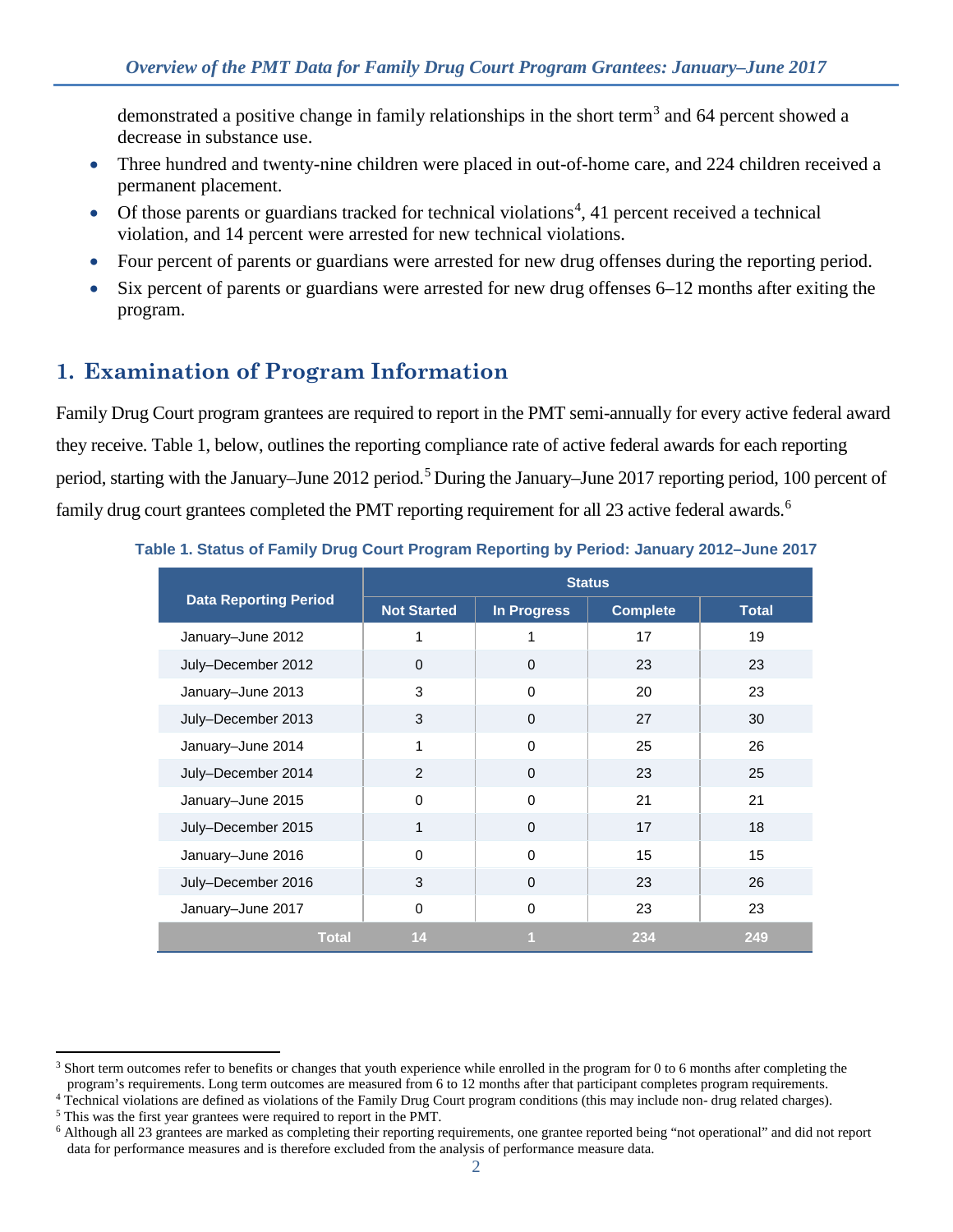demonstrated a positive change in family relationships in the short term<sup>[3](#page-1-0)</sup> and 64 percent showed a decrease in substance use.

- Three hundred and twenty-nine children were placed in out-of-home care, and 224 children received a permanent placement.
- $\bullet$  Of those parents or guardians tracked for technical violations<sup>[4](#page-1-1)</sup>, 41 percent received a technical violation, and 14 percent were arrested for new technical violations.
- Four percent of parents or guardians were arrested for new drug offenses during the reporting period.
- Six percent of parents or guardians were arrested for new drug offenses 6–12 months after exiting the program.

# **1. Examination of Program Information**

Family Drug Court program grantees are required to report in the PMT semi-annually for every active federal award they receive. Table 1, below, outlines the reporting compliance rate of active federal awards for each reporting period, starting with the January–June 2012 period.<sup>5</sup> During the January–June 2017 reporting period, 100 percent of family drug court grantees completed the PMT reporting requirement for all 23 active federal awards.<sup>6</sup>

|                              | <b>Status</b>      |                    |                 |              |
|------------------------------|--------------------|--------------------|-----------------|--------------|
| <b>Data Reporting Period</b> | <b>Not Started</b> | <b>In Progress</b> | <b>Complete</b> | <b>Total</b> |
| January-June 2012            | 1                  | 1                  | 17              | 19           |
| July-December 2012           | 0                  | $\mathbf{0}$       | 23              | 23           |
| January-June 2013            | 3                  | $\Omega$           | 20              | 23           |
| July-December 2013           | 3                  | $\mathbf{0}$       | 27              | 30           |
| January-June 2014            | 1                  | $\Omega$           | 25              | 26           |
| July-December 2014           | 2                  | $\Omega$           | 23              | 25           |
| January-June 2015            | $\Omega$           | $\Omega$           | 21              | 21           |
| July-December 2015           | 1                  | $\Omega$           | 17              | 18           |
| January-June 2016            | $\Omega$           | $\Omega$           | 15              | 15           |
| July-December 2016           | 3                  | $\Omega$           | 23              | 26           |
| January-June 2017            | 0                  | 0                  | 23              | 23           |
| <b>Total</b>                 | 14                 |                    | 234             | 249          |

#### **Table 1. Status of Family Drug Court Program Reporting by Period: January 2012–June 2017**

 $\overline{a}$ 

<span id="page-1-0"></span><sup>&</sup>lt;sup>3</sup> Short term outcomes refer to benefits or changes that youth experience while enrolled in the program for 0 to 6 months after completing the program's requirements. Long term outcomes are measured from 6 to 12 months after that participant completes program requirements.

<span id="page-1-1"></span><sup>&</sup>lt;sup>4</sup> Technical violations are defined as violations of the Family Drug Court program conditions (this may include non- drug related charges).

<span id="page-1-2"></span><sup>5</sup> This was the first year grantees were required to report in the PMT.

<span id="page-1-3"></span><sup>6</sup> Although all 23 grantees are marked as completing their reporting requirements, one grantee reported being "not operational" and did not report data for performance measures and is therefore excluded from the analysis of performance measure data.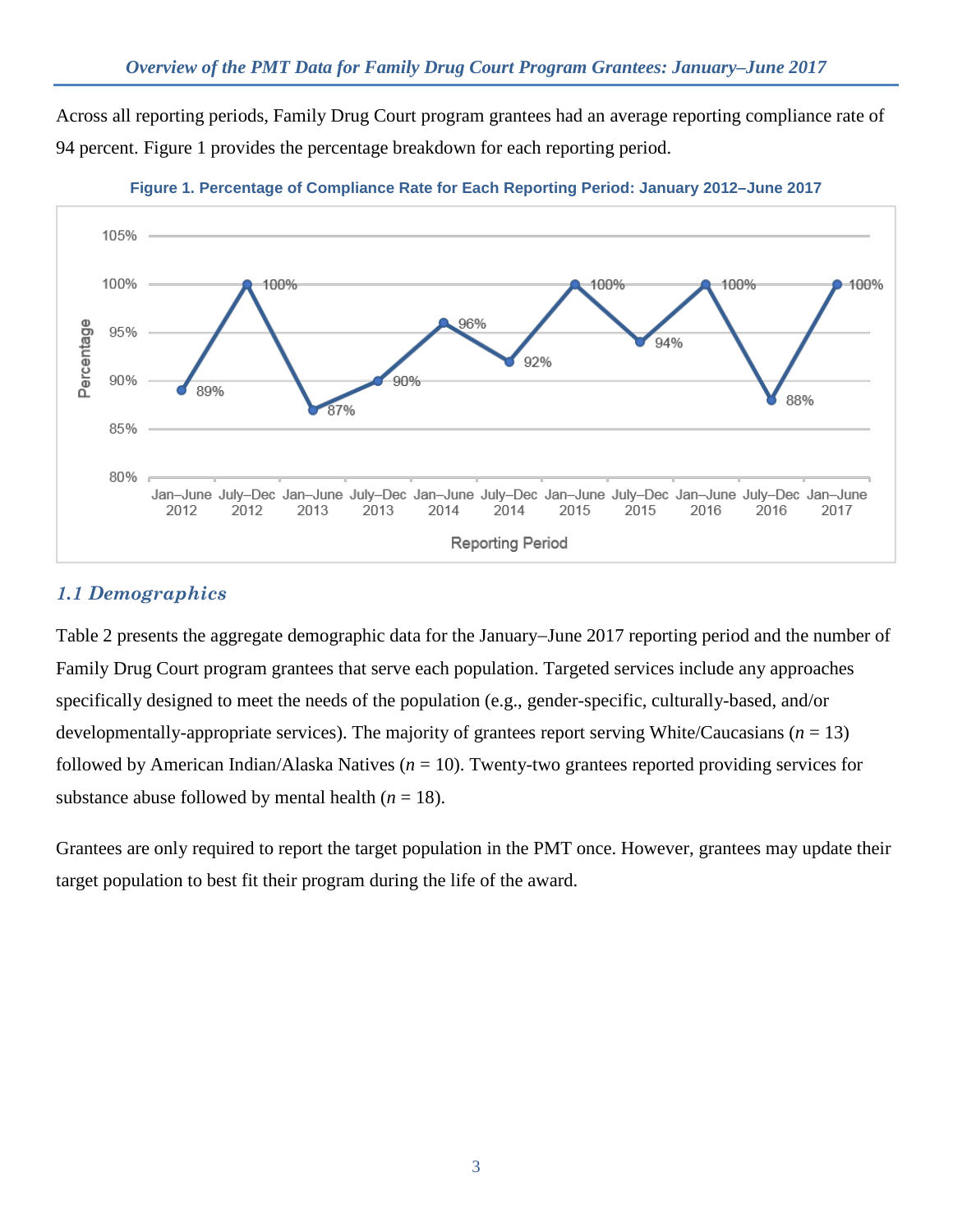Across all reporting periods, Family Drug Court program grantees had an average reporting compliance rate of 94 percent. Figure 1 provides the percentage breakdown for each reporting period.





## *1.1 Demographics*

Table 2 presents the aggregate demographic data for the January−June 2017 reporting period and the number of Family Drug Court program grantees that serve each population. Targeted services include any approaches specifically designed to meet the needs of the population (e.g., gender-specific, culturally-based, and/or developmentally-appropriate services). The majority of grantees report serving White/Caucasians  $(n = 13)$ followed by American Indian/Alaska Natives (*n* = 10). Twenty-two grantees reported providing services for substance abuse followed by mental health  $(n = 18)$ .

Grantees are only required to report the target population in the PMT once. However, grantees may update their target population to best fit their program during the life of the award.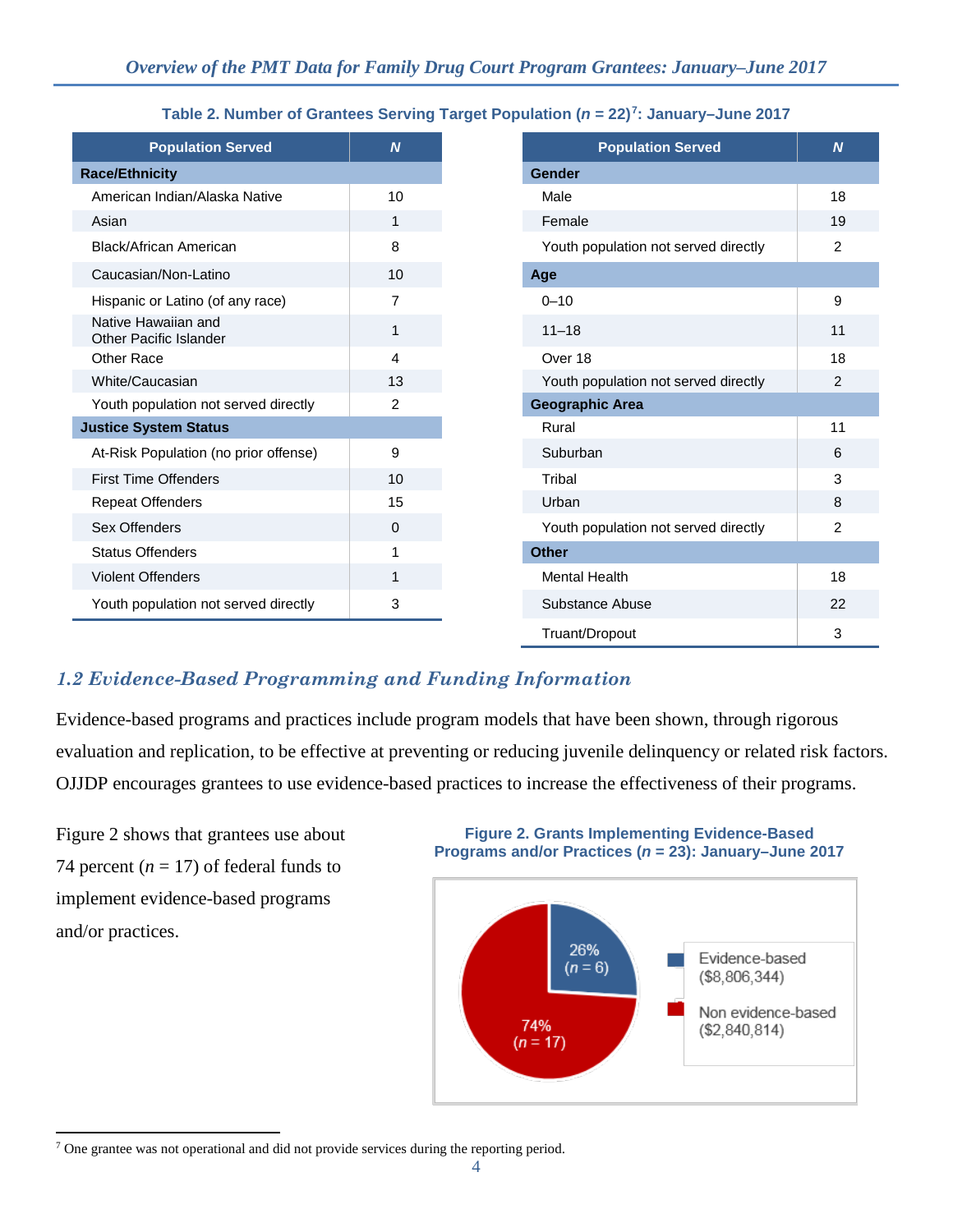| <b>Population Served</b>                      | $\overline{N}$ |
|-----------------------------------------------|----------------|
| <b>Race/Ethnicity</b>                         |                |
| American Indian/Alaska Native                 | 10             |
| Asian                                         | 1              |
| Black/African American                        | 8              |
| Caucasian/Non-Latino                          | 10             |
| Hispanic or Latino (of any race)              | 7              |
| Native Hawaiian and<br>Other Pacific Islander | 1              |
| Other Race                                    | 4              |
| White/Caucasian                               | 13             |
| Youth population not served directly          | $\overline{2}$ |
| <b>Justice System Status</b>                  |                |
| At-Risk Population (no prior offense)         | 9              |
| <b>First Time Offenders</b>                   | 10             |
| <b>Repeat Offenders</b>                       | 15             |
| Sex Offenders                                 | $\mathbf 0$    |
| <b>Status Offenders</b>                       | 1              |
| <b>Violent Offenders</b>                      | 1              |
| Youth population not served directly          | 3              |
|                                               |                |

### **Table 2. Number of Grantees Serving Target Population (***n* **= 22)[7:](#page-3-0) January–June 2017**

| <b>Population Served</b>      | $\boldsymbol{N}$ | <b>Population Served</b>             |
|-------------------------------|------------------|--------------------------------------|
| icity                         |                  | <b>Gender</b>                        |
| Indian/Alaska Native          | 10               | Male                                 |
|                               | $\mathbf{1}$     | Female                               |
| ican American                 | 8                | Youth population not served directly |
| n/Non-Latino                  | 10               | Age                                  |
| or Latino (of any race)       | 7                | $0 - 10$                             |
| awaiian and<br>cific Islander | 1                | $11 - 18$                            |
| cе                            | 4                | Over 18                              |
| ucasian                       | 13               | Youth population not served directly |
| pulation not served directly  | $\overline{2}$   | <b>Geographic Area</b>               |
| stem Status                   |                  | Rural                                |
| opulation (no prior offense)  | 9                | Suburban                             |
| <b>Offenders</b>              | 10               | Tribal                               |
| <b>Mfenders</b>               | 15               | Urban                                |
| าders                         | $\mathbf{0}$     | Youth population not served directly |
| fenders                       | 1                | <b>Other</b>                         |
| ffenders                      | 1                | <b>Mental Health</b>                 |
| pulation not served directly  | 3                | Substance Abuse                      |
|                               |                  | Truant/Dropout                       |

## *1.2 Evidence-Based Programming and Funding Information*

Evidence-based programs and practices include program models that have been shown, through rigorous evaluation and replication, to be effective at preventing or reducing juvenile delinquency or related risk factors. OJJDP encourages grantees to use evidence-based practices to increase the effectiveness of their programs.

Figure 2 shows that grantees use about 74 percent  $(n = 17)$  of federal funds to implement evidence-based programs and/or practices.

### **Figure 2. Grants Implementing Evidence-Based Programs and/or Practices (***n* **= 23): January–June 2017**



<span id="page-3-0"></span> $\overline{a}$ <sup>7</sup> One grantee was not operational and did not provide services during the reporting period.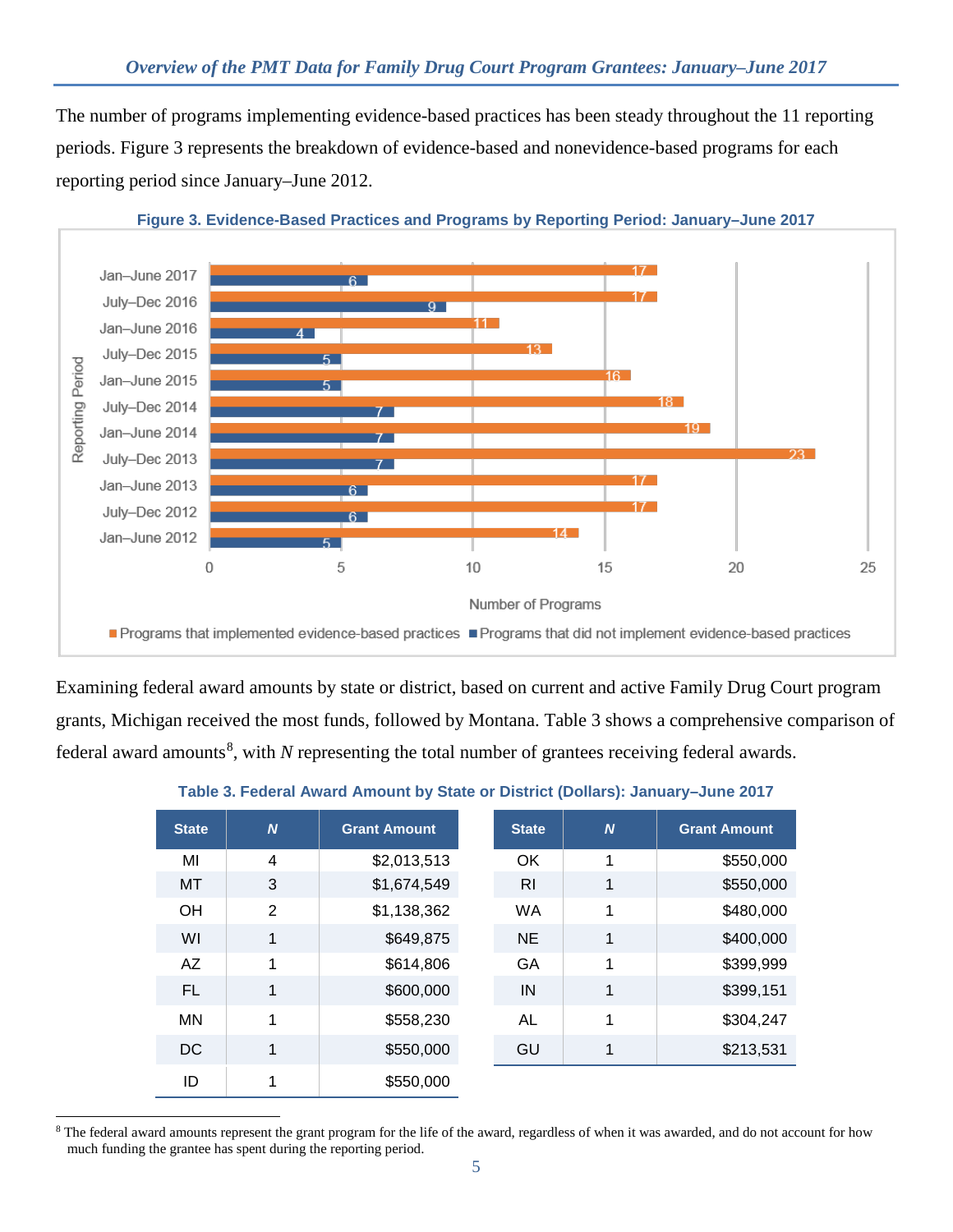The number of programs implementing evidence-based practices has been steady throughout the 11 reporting periods. Figure 3 represents the breakdown of evidence-based and nonevidence-based programs for each reporting period since January–June 2012.



Examining federal award amounts by state or district, based on current and active Family Drug Court program grants, Michigan received the most funds, followed by Montana. Table 3 shows a comprehensive comparison of federal award amounts<sup>[8](#page-4-0)</sup>, with *N* representing the total number of grantees receiving federal awards.

### **Table 3. Federal Award Amount by State or District (Dollars): January–June 2017**

| <b>State</b> | N | <b>Grant Amount</b> | <b>State</b> | $\overline{N}$ | <b>Grant Amount</b> |
|--------------|---|---------------------|--------------|----------------|---------------------|
| MI           | 4 | \$2,013,513         | OK           | 1              | \$550,000           |
| MT           | 3 | \$1,674,549         | <b>RI</b>    | 1              | \$550,000           |
| OH           | 2 | \$1,138,362         | <b>WA</b>    | 1              | \$480,000           |
| WI           | 1 | \$649,875           | <b>NE</b>    | 1              | \$400,000           |
| <b>AZ</b>    | 1 | \$614,806           | <b>GA</b>    | 1              | \$399,999           |
| FL           | 1 | \$600,000           | IN           | 1              | \$399,151           |
| <b>MN</b>    | 1 | \$558,230           | AL           | 1              | \$304,247           |
| <b>DC</b>    | 1 | \$550,000           | GU           | 1              | \$213,531           |
| ID           |   | \$550,000           |              |                |                     |

<span id="page-4-0"></span> $\ddot{\phantom{a}}$ <sup>8</sup> The federal award amounts represent the grant program for the life of the award, regardless of when it was awarded, and do not account for how much funding the grantee has spent during the reporting period.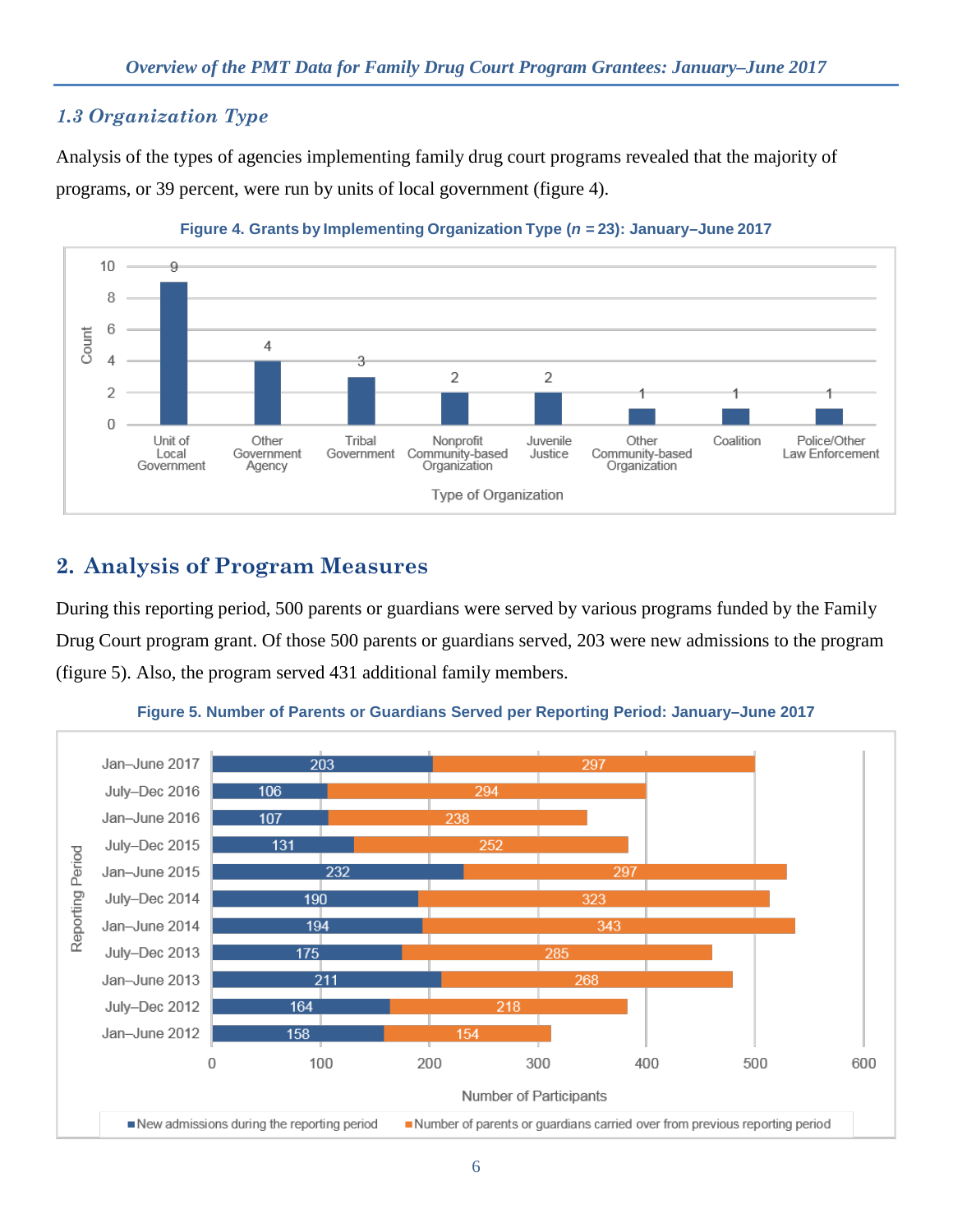## *1.3 Organization Type*

Analysis of the types of agencies implementing family drug court programs revealed that the majority of programs, or 39 percent, were run by units of local government (figure 4).



**Figure 4. Grants by Implementing Organization Type (***n =* **23): January–June 2017** 

# **2. Analysis of Program Measures**

During this reporting period, 500 parents or guardians were served by various programs funded by the Family Drug Court program grant. Of those 500 parents or guardians served, 203 were new admissions to the program (figure 5). Also, the program served 431 additional family members.



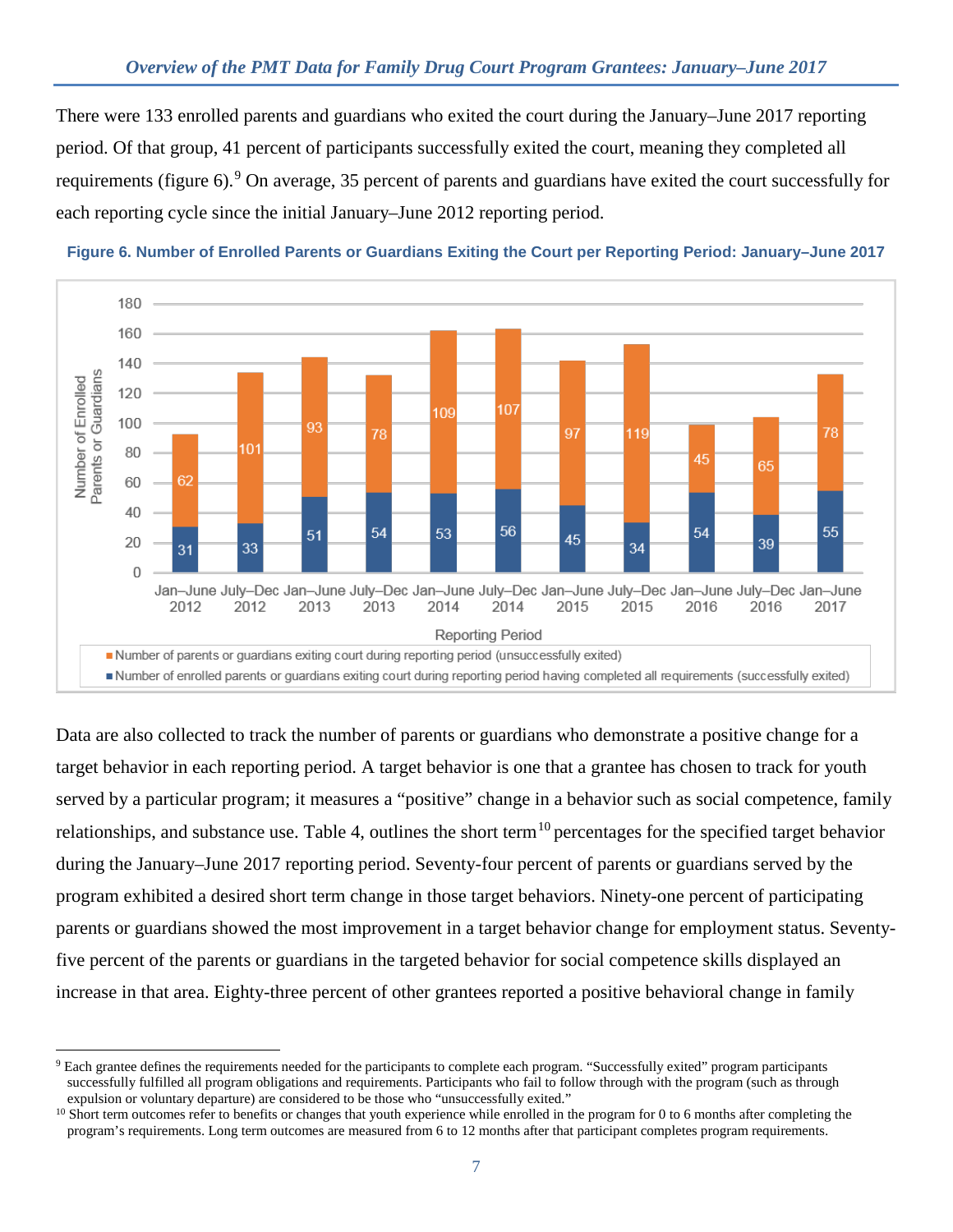There were 133 enrolled parents and guardians who exited the court during the January–June 2017 reporting period. Of that group, 41 percent of participants successfully exited the court, meaning they completed all requirements (figure 6).<sup>[9](#page-6-0)</sup> On average, 35 percent of parents and guardians have exited the court successfully for each reporting cycle since the initial January–June 2012 reporting period.



**Figure 6. Number of Enrolled Parents or Guardians Exiting the Court per Reporting Period: January–June 2017**

Data are also collected to track the number of parents or guardians who demonstrate a positive change for a target behavior in each reporting period. A target behavior is one that a grantee has chosen to track for youth served by a particular program; it measures a "positive" change in a behavior such as social competence, family relationships, and substance use. Table 4, outlines the short term<sup>[10](#page-6-1)</sup> percentages for the specified target behavior during the January–June 2017 reporting period. Seventy-four percent of parents or guardians served by the program exhibited a desired short term change in those target behaviors. Ninety-one percent of participating parents or guardians showed the most improvement in a target behavior change for employment status. Seventyfive percent of the parents or guardians in the targeted behavior for social competence skills displayed an increase in that area. Eighty-three percent of other grantees reported a positive behavioral change in family

<span id="page-6-0"></span><sup>-</sup><sup>9</sup> Each grantee defines the requirements needed for the participants to complete each program. "Successfully exited" program participants successfully fulfilled all program obligations and requirements. Participants who fail to follow through with the program (such as through expulsion or voluntary departure) are considered to be those who "unsuccessfully exited."

<span id="page-6-1"></span><sup>&</sup>lt;sup>10</sup> Short term outcomes refer to benefits or changes that youth experience while enrolled in the program for 0 to 6 months after completing the program's requirements. Long term outcomes are measured from 6 to 12 months after that participant completes program requirements.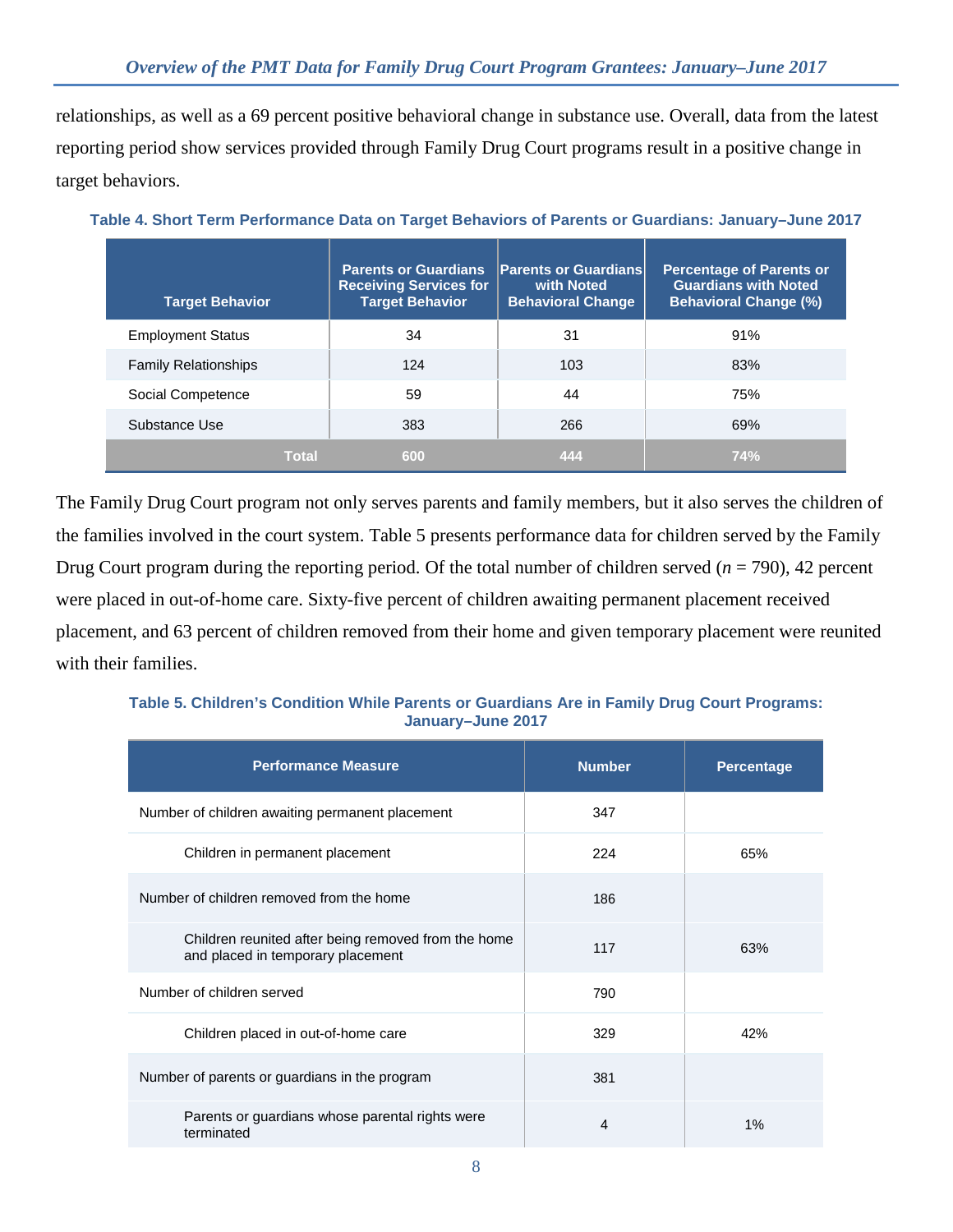relationships, as well as a 69 percent positive behavioral change in substance use. Overall, data from the latest reporting period show services provided through Family Drug Court programs result in a positive change in target behaviors.

| <b>Target Behavior</b>      | <b>Parents or Guardians</b><br><b>Receiving Services for</b><br><b>Target Behavior</b> | <b>Parents or Guardians</b><br>with Noted<br><b>Behavioral Change</b> | <b>Percentage of Parents or</b><br><b>Guardians with Noted</b><br><b>Behavioral Change (%)</b> |
|-----------------------------|----------------------------------------------------------------------------------------|-----------------------------------------------------------------------|------------------------------------------------------------------------------------------------|
| <b>Employment Status</b>    | 34                                                                                     | 31                                                                    | 91%                                                                                            |
| <b>Family Relationships</b> | 124                                                                                    | 103                                                                   | 83%                                                                                            |
| Social Competence           | 59                                                                                     | 44                                                                    | 75%                                                                                            |
| Substance Use               | 383                                                                                    | 266                                                                   | 69%                                                                                            |
| <b>Total</b>                | 600                                                                                    | 444                                                                   | 74%                                                                                            |

**Table 4. Short Term Performance Data on Target Behaviors of Parents or Guardians: January–June 2017**

The Family Drug Court program not only serves parents and family members, but it also serves the children of the families involved in the court system. Table 5 presents performance data for children served by the Family Drug Court program during the reporting period. Of the total number of children served  $(n = 790)$ , 42 percent were placed in out-of-home care. Sixty-five percent of children awaiting permanent placement received placement, and 63 percent of children removed from their home and given temporary placement were reunited with their families.

| Table 5. Children's Condition While Parents or Guardians Are in Family Drug Court Programs: |                   |  |  |
|---------------------------------------------------------------------------------------------|-------------------|--|--|
|                                                                                             | January-June 2017 |  |  |

| <b>Performance Measure</b>                                                               | <b>Number</b> | <b>Percentage</b> |
|------------------------------------------------------------------------------------------|---------------|-------------------|
| Number of children awaiting permanent placement                                          | 347           |                   |
| Children in permanent placement                                                          | 224           | 65%               |
| Number of children removed from the home                                                 | 186           |                   |
| Children reunited after being removed from the home<br>and placed in temporary placement | 117           | 63%               |
| Number of children served                                                                | 790           |                   |
| Children placed in out-of-home care                                                      | 329           | 42%               |
| Number of parents or guardians in the program                                            | 381           |                   |
| Parents or quardians whose parental rights were<br>terminated                            | 4             | 1%                |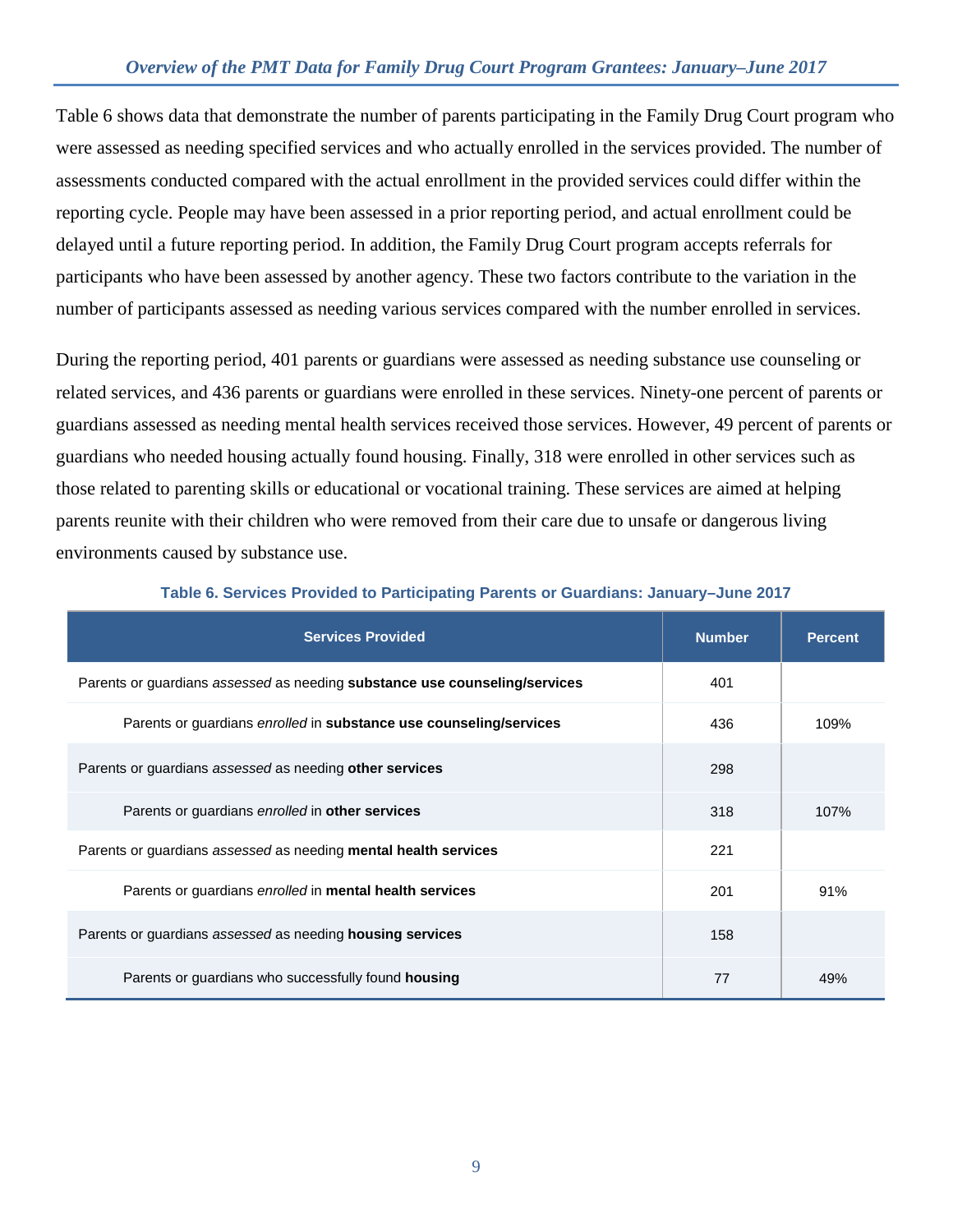### *Overview of the PMT Data for Family Drug Court Program Grantees: January–June 2017*

Table 6 shows data that demonstrate the number of parents participating in the Family Drug Court program who were assessed as needing specified services and who actually enrolled in the services provided. The number of assessments conducted compared with the actual enrollment in the provided services could differ within the reporting cycle. People may have been assessed in a prior reporting period, and actual enrollment could be delayed until a future reporting period. In addition, the Family Drug Court program accepts referrals for participants who have been assessed by another agency. These two factors contribute to the variation in the number of participants assessed as needing various services compared with the number enrolled in services.

During the reporting period, 401 parents or guardians were assessed as needing substance use counseling or related services, and 436 parents or guardians were enrolled in these services. Ninety-one percent of parents or guardians assessed as needing mental health services received those services. However, 49 percent of parents or guardians who needed housing actually found housing. Finally, 318 were enrolled in other services such as those related to parenting skills or educational or vocational training. These services are aimed at helping parents reunite with their children who were removed from their care due to unsafe or dangerous living environments caused by substance use.

| <b>Services Provided</b>                                                   | <b>Number</b> | <b>Percent</b> |
|----------------------------------------------------------------------------|---------------|----------------|
| Parents or guardians assessed as needing substance use counseling/services | 401           |                |
| Parents or guardians enrolled in substance use counseling/services         | 436           | 109%           |
| Parents or guardians assessed as needing other services                    | 298           |                |
| Parents or guardians enrolled in other services                            | 318           | 107%           |
| Parents or quardians assessed as needing mental health services            | 221           |                |
| Parents or guardians enrolled in mental health services                    | 201           | 91%            |
| Parents or guardians assessed as needing <b>housing services</b>           | 158           |                |
| Parents or guardians who successfully found <b>housing</b>                 | 77            | 49%            |

#### **Table 6. Services Provided to Participating Parents or Guardians: January–June 2017**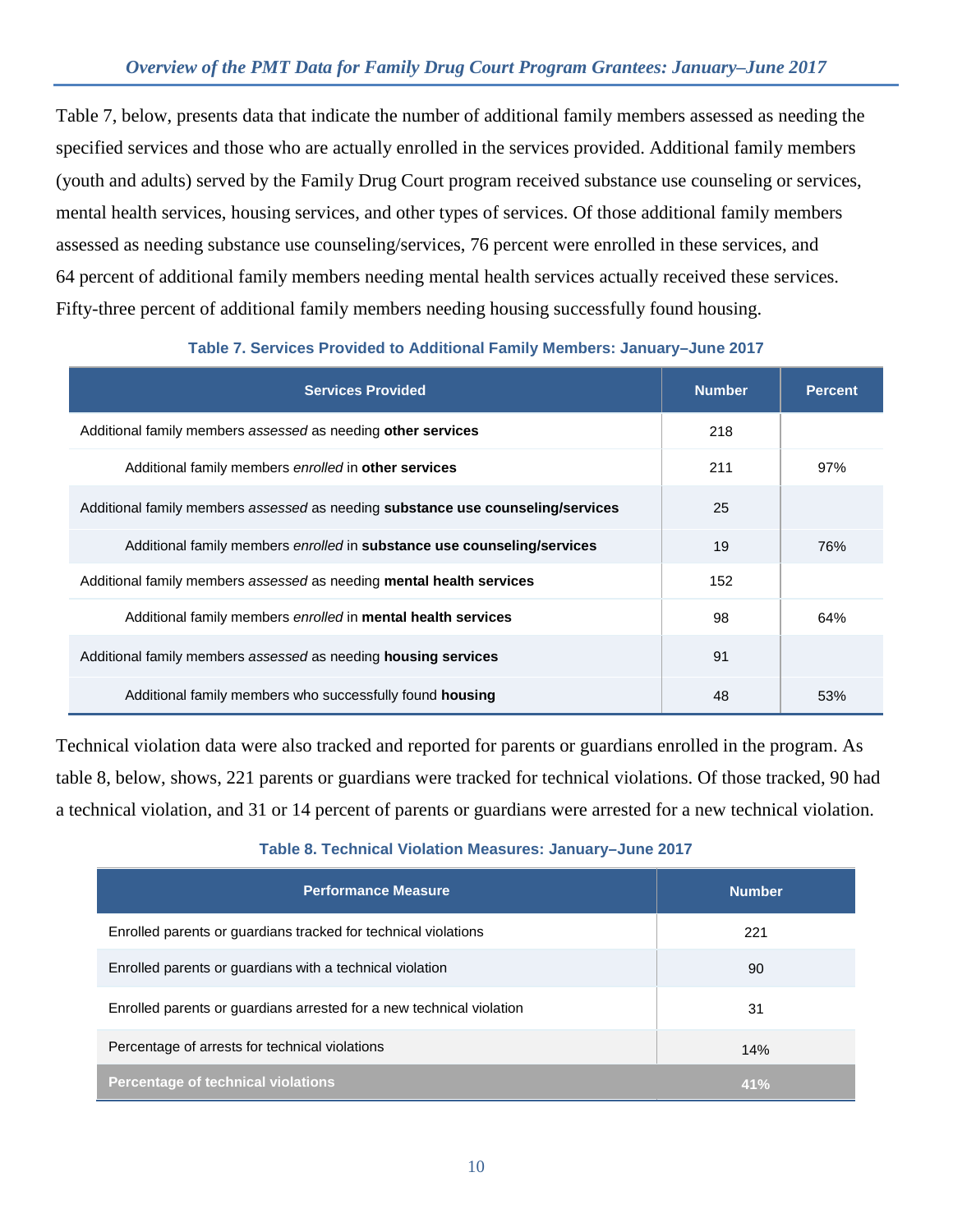Table 7, below, presents data that indicate the number of additional family members assessed as needing the specified services and those who are actually enrolled in the services provided. Additional family members (youth and adults) served by the Family Drug Court program received substance use counseling or services, mental health services, housing services, and other types of services. Of those additional family members assessed as needing substance use counseling/services, 76 percent were enrolled in these services, and 64 percent of additional family members needing mental health services actually received these services. Fifty-three percent of additional family members needing housing successfully found housing.

| <b>Services Provided</b>                                                               | <b>Number</b> | <b>Percent</b> |
|----------------------------------------------------------------------------------------|---------------|----------------|
| Additional family members assessed as needing other services                           | 218           |                |
| Additional family members enrolled in other services                                   | 211           | 97%            |
| Additional family members assessed as needing <b>substance use counseling/services</b> | 25            |                |
| Additional family members enrolled in substance use counseling/services                | 19            | 76%            |
| Additional family members assessed as needing <b>mental health services</b>            | 152           |                |
| Additional family members enrolled in mental health services                           | 98            | 64%            |
| Additional family members assessed as needing <b>housing services</b>                  | 91            |                |
| Additional family members who successfully found housing                               | 48            | 53%            |

### **Table 7. Services Provided to Additional Family Members: January–June 2017**

Technical violation data were also tracked and reported for parents or guardians enrolled in the program. As table 8, below, shows, 221 parents or guardians were tracked for technical violations. Of those tracked, 90 had a technical violation, and 31 or 14 percent of parents or guardians were arrested for a new technical violation.

| <b>Performance Measure</b>                                           | <b>Number</b> |
|----------------------------------------------------------------------|---------------|
| Enrolled parents or guardians tracked for technical violations       | 221           |
| Enrolled parents or guardians with a technical violation             | 90            |
| Enrolled parents or guardians arrested for a new technical violation | 31            |
| Percentage of arrests for technical violations                       | 14%           |
| Percentage of technical violations                                   | 41%           |

#### **Table 8. Technical Violation Measures: January–June 2017**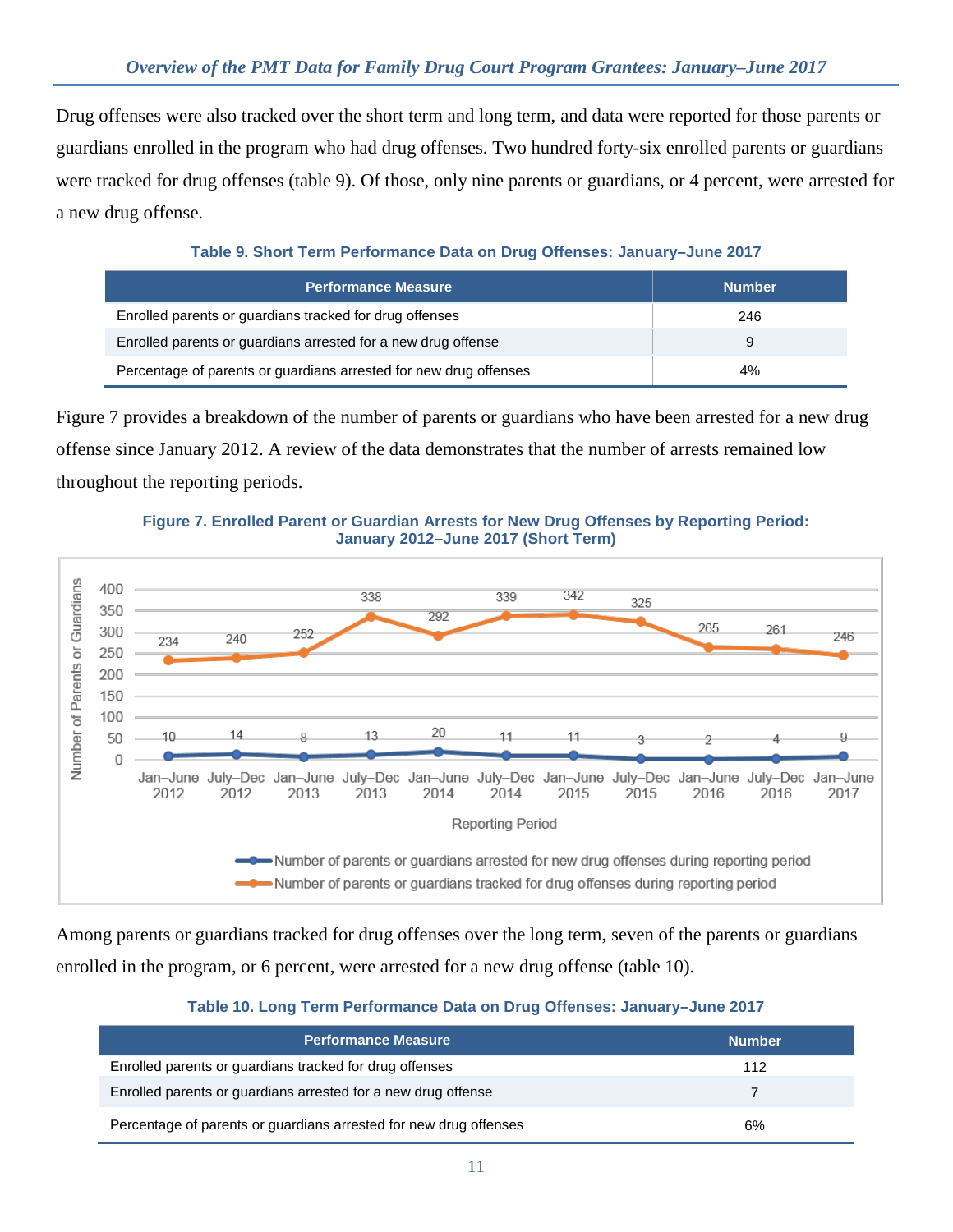Drug offenses were also tracked over the short term and long term, and data were reported for those parents or guardians enrolled in the program who had drug offenses. Two hundred forty-six enrolled parents or guardians were tracked for drug offenses (table 9). Of those, only nine parents or guardians, or 4 percent, were arrested for a new drug offense.

**Table 9. Short Term Performance Data on Drug Offenses: January–June 2017**

| <b>Performance Measure</b>                                        | <b>Number</b> |
|-------------------------------------------------------------------|---------------|
| Enrolled parents or guardians tracked for drug offenses           | 246           |
| Enrolled parents or guardians arrested for a new drug offense     | 9             |
| Percentage of parents or guardians arrested for new drug offenses | 4%            |

Figure 7 provides a breakdown of the number of parents or guardians who have been arrested for a new drug offense since January 2012. A review of the data demonstrates that the number of arrests remained low throughout the reporting periods.

**Figure 7. Enrolled Parent or Guardian Arrests for New Drug Offenses by Reporting Period: January 2012–June 2017 (Short Term)**



Among parents or guardians tracked for drug offenses over the long term, seven of the parents or guardians enrolled in the program, or 6 percent, were arrested for a new drug offense (table 10).

### **Table 10. Long Term Performance Data on Drug Offenses: January–June 2017**

| <b>Performance Measure</b>                                        | <b>Number</b> |
|-------------------------------------------------------------------|---------------|
| Enrolled parents or guardians tracked for drug offenses           | 112           |
| Enrolled parents or guardians arrested for a new drug offense     |               |
| Percentage of parents or guardians arrested for new drug offenses | 6%            |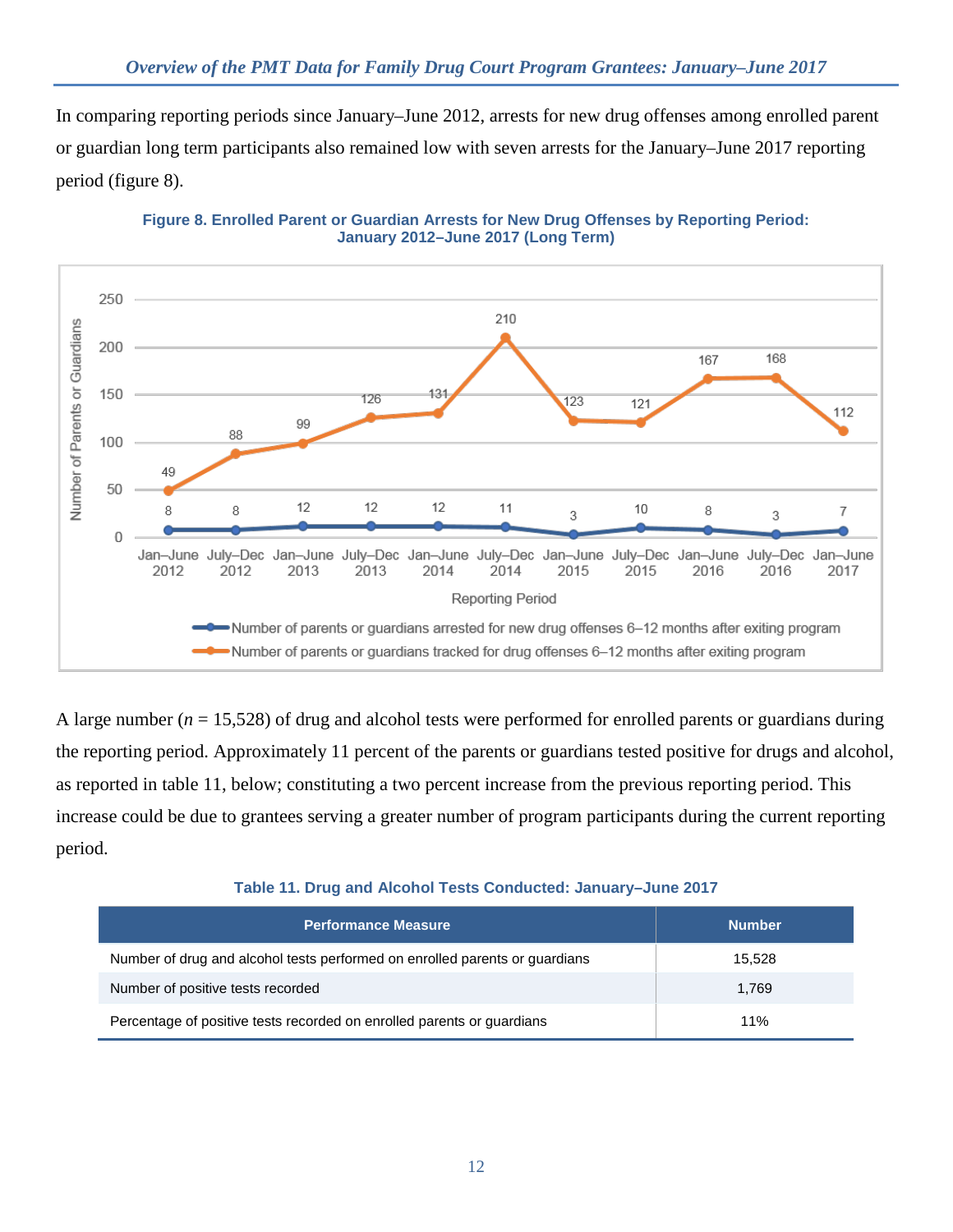In comparing reporting periods since January–June 2012, arrests for new drug offenses among enrolled parent or guardian long term participants also remained low with seven arrests for the January–June 2017 reporting period (figure 8).



**Figure 8. Enrolled Parent or Guardian Arrests for New Drug Offenses by Reporting Period: January 2012–June 2017 (Long Term)**

A large number  $(n = 15,528)$  of drug and alcohol tests were performed for enrolled parents or guardians during the reporting period. Approximately 11 percent of the parents or guardians tested positive for drugs and alcohol, as reported in table 11, below; constituting a two percent increase from the previous reporting period. This increase could be due to grantees serving a greater number of program participants during the current reporting period.

| Table 11. Drug and Alcohol Tests Conducted: January-June 2017 |  |
|---------------------------------------------------------------|--|
|---------------------------------------------------------------|--|

| <b>Performance Measure</b>                                                  | <b>Number</b> |
|-----------------------------------------------------------------------------|---------------|
| Number of drug and alcohol tests performed on enrolled parents or guardians | 15,528        |
| Number of positive tests recorded                                           | 1.769         |
| Percentage of positive tests recorded on enrolled parents or guardians      | 11%           |